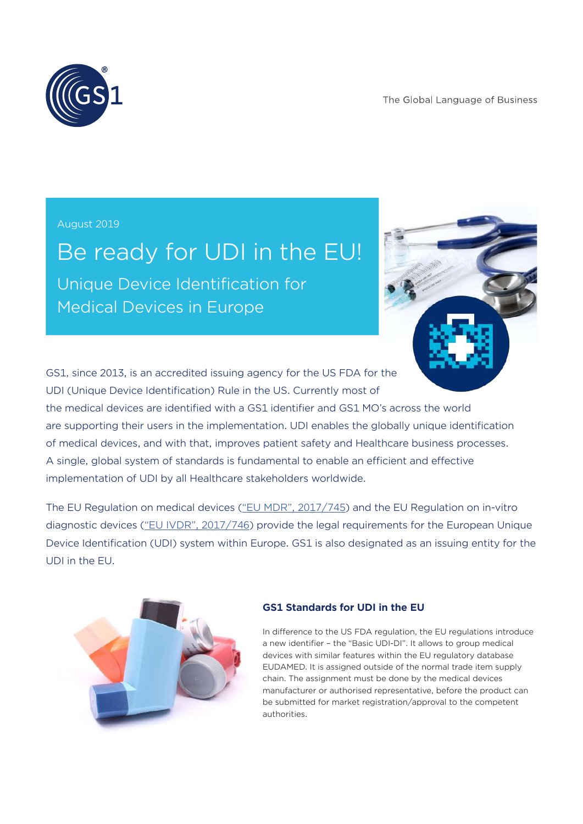The Global Language of Business



August 2019

# Be ready for UDI in the EU!

Unique Device Identification for Medical Devices in Europe



GS1, since 2013, is an accredited issuing agency for the US FDA for the UDI (Unique Device Identification) Rule in the US. Currently most of

the medical devices are identified with a GS1 identifier and GS1 MO's across the world are supporting their users in the implementation. UDI enables the globally unique identification of medical devices, and with that, improves patient safety and Healthcare business processes. A single, global system of standards is fundamental to enable an efficient and effective implementation of UDI by all Healthcare stakeholders worldwide.

The EU Regulation on medical devices ("EU MDR", 2017/745) and the EU Regulation on in-vitro diagnostic devices ("EU IVDR", 2017/746) provide the legal requirements for the European Unique Device Identification (UDI) system within Europe. GS1 is also designated as an issuing entity for the UDI in the EU.



#### **GS1 Standards for UDI in the EU**

In difference to the US FDA regulation, the EU regulations introduce a new identifier – the "Basic UDI-DI". It allows to group medical devices with similar features within the EU regulatory database EUDAMED. It is assigned outside of the normal trade item supply chain. The assignment must be done by the medical devices manufacturer or authorised representative, before the product can be submitted for market registration/approval to the competent authorities.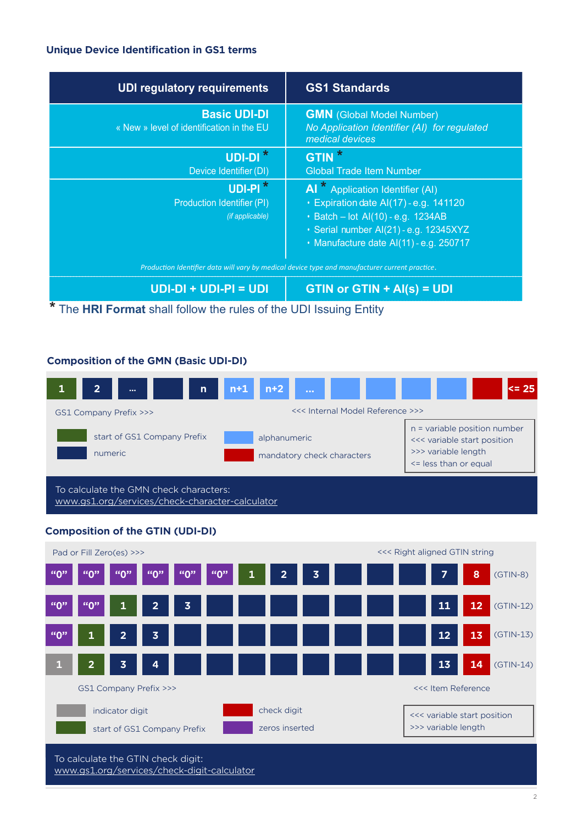#### **Unique Device Identification in GS1 terms**

| <b>UDI regulatory requirements</b>                                                             | <b>GS1 Standards</b>                                                                                                                                                                                  |
|------------------------------------------------------------------------------------------------|-------------------------------------------------------------------------------------------------------------------------------------------------------------------------------------------------------|
| <b>Basic UDI-DI</b><br>« New » level of identification in the EU                               | <b>GMN</b> (Global Model Number)<br>No Application Identifier (AI) for regulated<br>medical devices                                                                                                   |
| $UDI-DI^*$                                                                                     | GTIN <sup>*</sup>                                                                                                                                                                                     |
| Device Identifier (DI)                                                                         | <b>Global Trade Item Number</b>                                                                                                                                                                       |
| $UDI-PI^*$<br>Production Identifier (PI)<br>(if applicable)                                    | Al * Application Identifier (AI)<br>· Expiration date AI(17) - e.g. 141120<br>· Batch - lot Al(10) - e.g. 1234AB<br>· Serial number Al(21) - e.g. 12345XYZ<br>· Manufacture date Al(11) - e.g. 250717 |
| Production Identifier data will vary by medical device type and manufacturer current practice. |                                                                                                                                                                                                       |
| $UDI-DI + UDI-PI = UDI$                                                                        | $GTIN$ or $GTIN + AI(s) = UDI$                                                                                                                                                                        |
| The HRI Format shall follow the rules of the UDI Issuing Entity                                |                                                                                                                                                                                                       |

#### **Composition of the GMN (Basic UDI-DI)**



To calculate the GMN check characters: www.gs1.org/services/check-character-calculator

### **Composition of the GTIN (UDI-DI)**



To calculate the GTIN check digit: www.gs1.org/services/check-digit-calculator